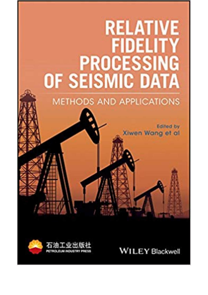## **RELATIVE FIDELITY PROCESSING** OF SEISMIC DATA

**METHODS AND APPLICATIONS** 

**Edited by** Xiwen Wang et al



**WILEY Blackwell**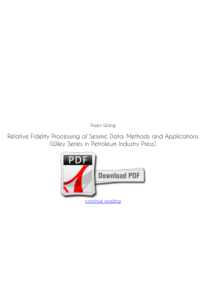*Xiwen Wang*

**Relative Fidelity Processing of Seismic Data: Methods and Applications (Wiley Series in Petroleum Industry Press)**

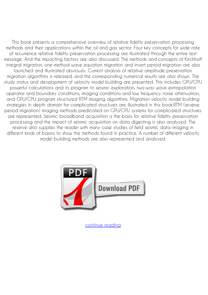This book presents a comprehensive overview of relative fidelity preservation processing methods and their applications within the oil and gas sector. Four key concepts for wide-rate of recurrence relative fidelity preservation processing are illustrated through the entire text message. And the impacting factors are also discussed. The methods and concepts of Kirchhoff integral migration, one-method wave equation migration and invert period migration are also launched and illustrated obviously. Current analysis of relative amplitude preservation migration algorithms is released, and the corresponding numerical results are also shown. The study status and development of velocity model building are presented. This includes GPU/CPU powerful calculations and its program to seismic exploration, two-way wave extrapolation operator and boundary conditions, imaging conditions and low frequency noise attenuation, and GPU/CPU program structured RTM imaging algorithms. Migration velocity model building strategies in depth domain for complicated structures are illustrated in this book.RTM (reverse period migration) imaging methods predicated on GPU/CPU systems for complicated structures are represented. Seismic broadband acquisition is the basis for relative fidelity preservation processing and the impact of seismic acquisition on data digesting is also analyzed. The reserve also supplies the reader with many case studies of field seismic data imaging in different kinds of basins to show the methods found in practice. A number of different velocity model building methods are also represented and analyzed.



[continue reading](http://bit.ly/2Tge8Fv)